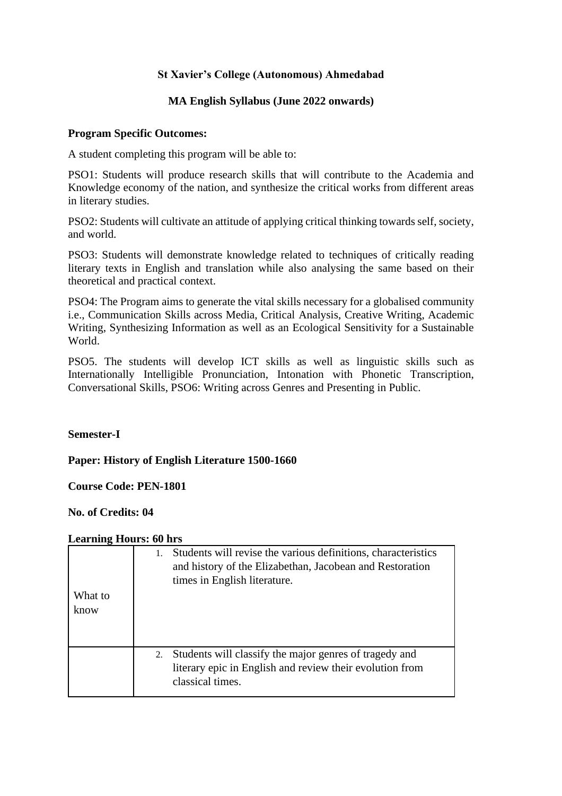# **St Xavier's College (Autonomous) Ahmedabad**

## **MA English Syllabus (June 2022 onwards)**

### **Program Specific Outcomes:**

A student completing this program will be able to:

PSO1: Students will produce research skills that will contribute to the Academia and Knowledge economy of the nation, and synthesize the critical works from different areas in literary studies.

PSO2: Students will cultivate an attitude of applying critical thinking towards self, society, and world.

PSO3: Students will demonstrate knowledge related to techniques of critically reading literary texts in English and translation while also analysing the same based on their theoretical and practical context.

PSO4: The Program aims to generate the vital skills necessary for a globalised community i.e., Communication Skills across Media, Critical Analysis, Creative Writing, Academic Writing, Synthesizing Information as well as an Ecological Sensitivity for a Sustainable World.

PSO5. The students will develop ICT skills as well as linguistic skills such as Internationally Intelligible Pronunciation, Intonation with Phonetic Transcription, Conversational Skills, PSO6: Writing across Genres and Presenting in Public.

### **Semester-I**

**Paper: History of English Literature 1500-1660**

**Course Code: PEN-1801**

**No. of Credits: 04**

| What to | Students will revise the various definitions, characteristics<br>1.<br>and history of the Elizabethan, Jacobean and Restoration<br>times in English literature. |  |
|---------|-----------------------------------------------------------------------------------------------------------------------------------------------------------------|--|
| know    |                                                                                                                                                                 |  |
|         |                                                                                                                                                                 |  |
|         |                                                                                                                                                                 |  |
|         | Students will classify the major genres of tragedy and<br>2.                                                                                                    |  |
|         | literary epic in English and review their evolution from                                                                                                        |  |
|         | classical times.                                                                                                                                                |  |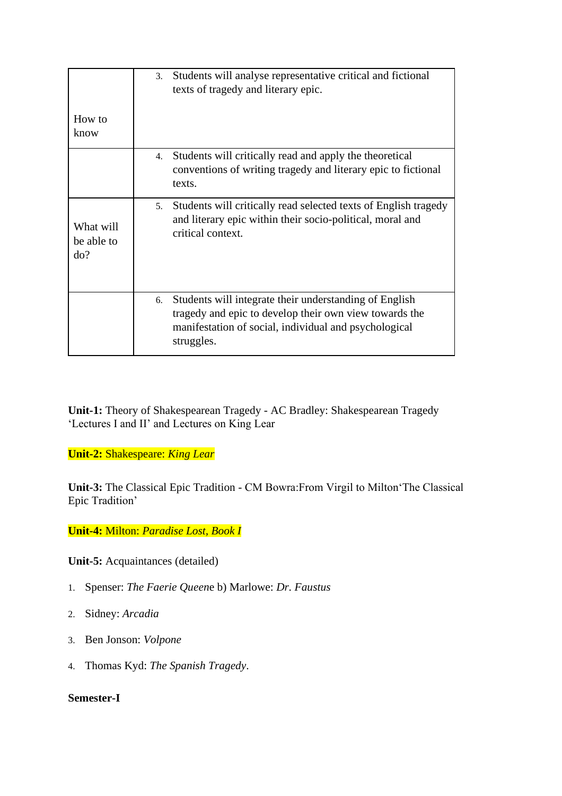| How to<br>know                 | Students will analyse representative critical and fictional<br>3.<br>texts of tragedy and literary epic.                                                                                      |
|--------------------------------|-----------------------------------------------------------------------------------------------------------------------------------------------------------------------------------------------|
|                                | Students will critically read and apply the theoretical<br>4.<br>conventions of writing tragedy and literary epic to fictional<br>texts.                                                      |
| What will<br>be able to<br>do? | Students will critically read selected texts of English tragedy<br>5 <sub>1</sub><br>and literary epic within their socio-political, moral and<br>critical context.                           |
|                                | Students will integrate their understanding of English<br>6.<br>tragedy and epic to develop their own view towards the<br>manifestation of social, individual and psychological<br>struggles. |

**Unit-1:** Theory of Shakespearean Tragedy - AC Bradley: Shakespearean Tragedy 'Lectures I and II' and Lectures on King Lear

**Unit-2:** Shakespeare: *King Lear*

**Unit-3:** The Classical Epic Tradition - CM Bowra:From Virgil to Milton'The Classical Epic Tradition'

**Unit-4:** Milton: *Paradise Lost, Book I*

**Unit-5:** Acquaintances (detailed)

- 1. Spenser: *The Faerie Queen*e b) Marlowe: *Dr. Faustus*
- 2. Sidney: *Arcadia*
- 3. Ben Jonson: *Volpone*
- 4. Thomas Kyd: *The Spanish Tragedy*.

# **Semester-I**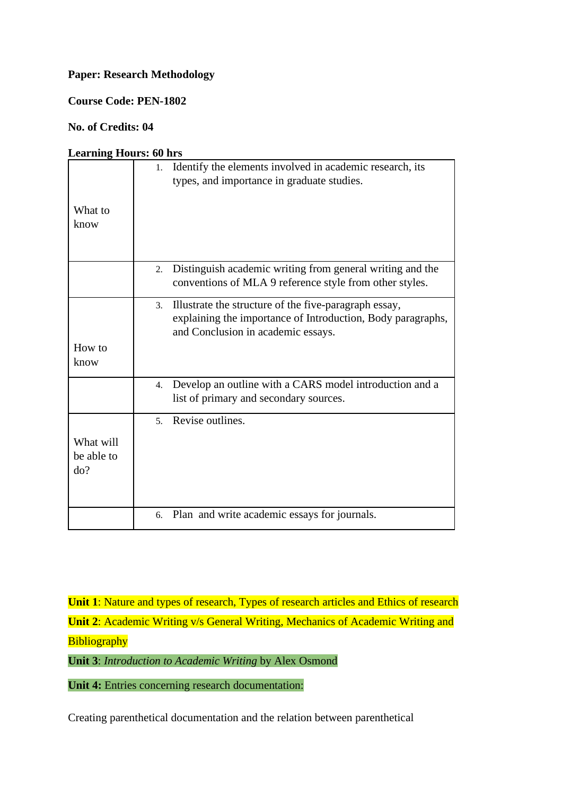# **Paper: Research Methodology**

**Course Code: PEN-1802**

## **No. of Credits: 04**

#### **Learning Hours: 60 hrs**

|            | Identify the elements involved in academic research, its<br>1.  |
|------------|-----------------------------------------------------------------|
|            | types, and importance in graduate studies.                      |
|            |                                                                 |
| What to    |                                                                 |
|            |                                                                 |
| know       |                                                                 |
|            |                                                                 |
|            |                                                                 |
|            |                                                                 |
|            | Distinguish academic writing from general writing and the<br>2. |
|            | conventions of MLA 9 reference style from other styles.         |
|            |                                                                 |
|            | Illustrate the structure of the five-paragraph essay,<br>3.     |
|            | explaining the importance of Introduction, Body paragraphs,     |
|            | and Conclusion in academic essays.                              |
| How to     |                                                                 |
|            |                                                                 |
| know       |                                                                 |
|            | Develop an outline with a CARS model introduction and a<br>4.   |
|            |                                                                 |
|            | list of primary and secondary sources.                          |
|            | Revise outlines.<br>5 <sub>1</sub>                              |
|            |                                                                 |
| What will  |                                                                 |
| be able to |                                                                 |
|            |                                                                 |
| do?        |                                                                 |
|            |                                                                 |
|            |                                                                 |
|            | 6. Plan and write academic essays for journals.                 |
|            |                                                                 |

**Unit 1**: Nature and types of research, Types of research articles and Ethics of research **Unit 2**: Academic Writing v/s General Writing, Mechanics of Academic Writing and **Bibliography** 

**Unit 3**: *Introduction to Academic Writing* by Alex Osmond

**Unit 4:** Entries concerning research documentation:

Creating parenthetical documentation and the relation between parenthetical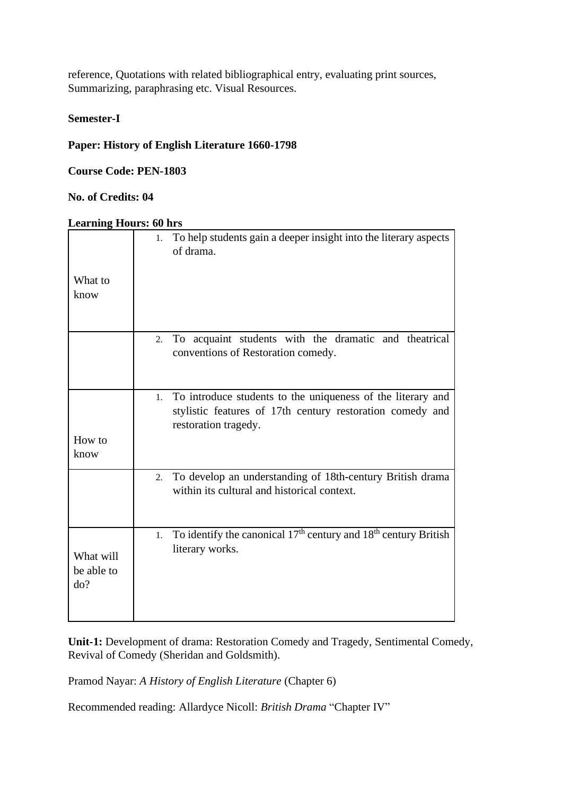reference, Quotations with related bibliographical entry, evaluating print sources, Summarizing, paraphrasing etc. Visual Resources.

### **Semester-I**

## **Paper: History of English Literature 1660-1798**

**Course Code: PEN-1803**

# **No. of Credits: 04**

## **Learning Hours: 60 hrs**

|                                | To help students gain a deeper insight into the literary aspects<br>1.<br>of drama.                                                                    |
|--------------------------------|--------------------------------------------------------------------------------------------------------------------------------------------------------|
| What to<br>know                |                                                                                                                                                        |
|                                | To acquaint students with the dramatic and theatrical<br>2.<br>conventions of Restoration comedy.                                                      |
| How to<br>know                 | To introduce students to the uniqueness of the literary and<br>1.<br>stylistic features of 17th century restoration comedy and<br>restoration tragedy. |
|                                | To develop an understanding of 18th-century British drama<br>2.<br>within its cultural and historical context.                                         |
| What will<br>be able to<br>do? | To identify the canonical 17 <sup>th</sup> century and 18 <sup>th</sup> century British<br>1.<br>literary works.                                       |

**Unit-1:** Development of drama: Restoration Comedy and Tragedy, Sentimental Comedy, Revival of Comedy (Sheridan and Goldsmith).

Pramod Nayar: *A History of English Literature* (Chapter 6)

Recommended reading: Allardyce Nicoll: *British Drama* "Chapter IV"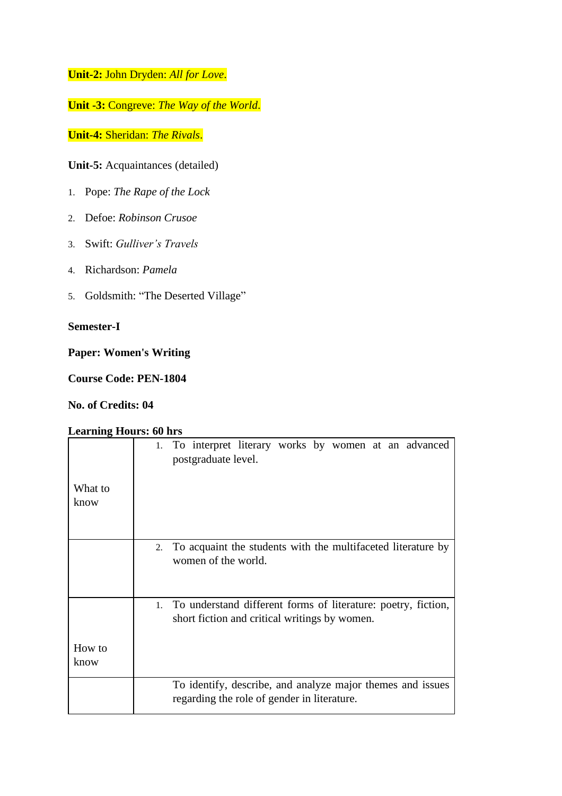**Unit-2:** John Dryden: *All for Love*.

**Unit -3:** Congreve: *The Way of the World*.

**Unit-4:** Sheridan: *The Rivals*.

**Unit-5:** Acquaintances (detailed)

- 1. Pope: *The Rape of the Lock*
- 2. Defoe: *Robinson Crusoe*
- 3. Swift: *Gulliver's Travels*
- 4. Richardson: *Pamela*
- 5. Goldsmith: "The Deserted Village"

## **Semester-I**

### **Paper: Women's Writing**

**Course Code: PEN-1804**

**No. of Credits: 04**

|                 | 1. To interpret literary works by women at an advanced<br>postgraduate level.                                     |
|-----------------|-------------------------------------------------------------------------------------------------------------------|
| What to<br>know |                                                                                                                   |
|                 | 2. To acquaint the students with the multifaceted literature by<br>women of the world.                            |
|                 | 1. To understand different forms of literature: poetry, fiction,<br>short fiction and critical writings by women. |
| How to<br>know  |                                                                                                                   |
|                 | To identify, describe, and analyze major themes and issues<br>regarding the role of gender in literature.         |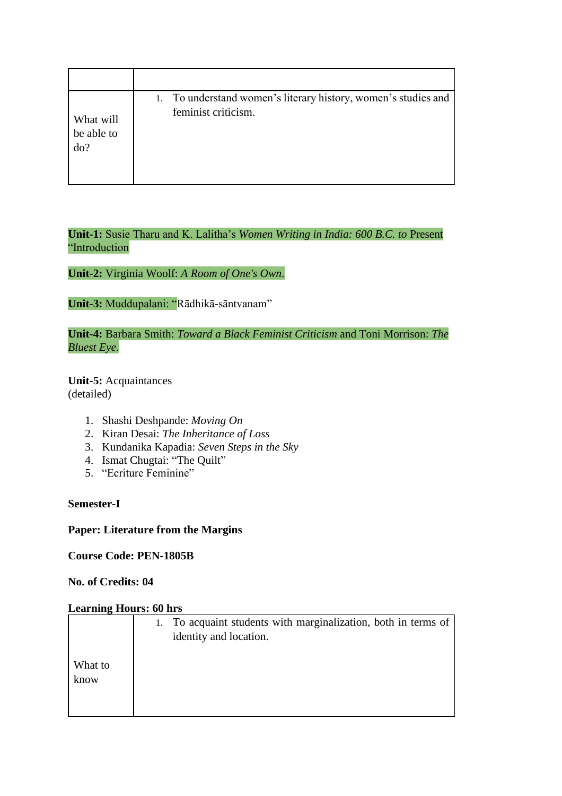| What will<br>be able to<br>do? | 1. To understand women's literary history, women's studies and<br>feminist criticism. |
|--------------------------------|---------------------------------------------------------------------------------------|

**Unit-1:** Susie Tharu and K. Lalitha's *Women Writing in India: 600 B.C. to* Present "Introduction

**Unit-2:** Virginia Woolf: *A Room of One's Own*.

**Unit-3:** Muddupalani: "Rādhikā-sāntvanam"

**Unit-4:** Barbara Smith: *Toward a Black Feminist Criticism* and Toni Morrison: *The Bluest Eye*.

**Unit-5:** Acquaintances (detailed)

- 1. Shashi Deshpande: *Moving On*
- 2. Kiran Desai: *The Inheritance of Loss*
- 3. Kundanika Kapadia: *Seven Steps in the Sky*
- 4. Ismat Chugtai: "The Quilt"
- 5. "Ecriture Feminine"

## **Semester-I**

### **Paper: Literature from the Margins**

**Course Code: PEN-1805B**

#### **No. of Credits: 04**

|                 | To acquaint students with marginalization, both in terms of<br>1.<br>identity and location. |
|-----------------|---------------------------------------------------------------------------------------------|
| What to<br>know |                                                                                             |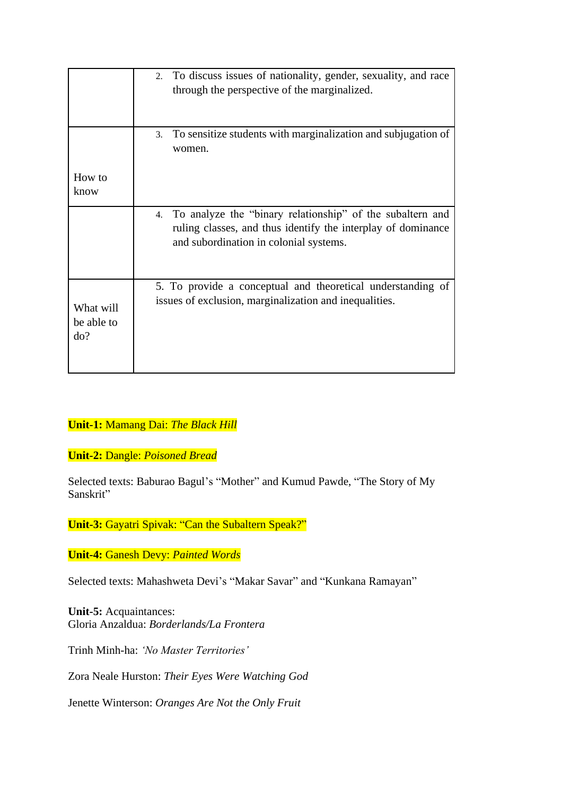|                                | 2. To discuss issues of nationality, gender, sexuality, and race<br>through the perspective of the marginalized.                                                       |  |
|--------------------------------|------------------------------------------------------------------------------------------------------------------------------------------------------------------------|--|
|                                | To sensitize students with marginalization and subjugation of<br>3.<br>women.                                                                                          |  |
| How to<br>know                 |                                                                                                                                                                        |  |
|                                | 4. To analyze the "binary relationship" of the subaltern and<br>ruling classes, and thus identify the interplay of dominance<br>and subordination in colonial systems. |  |
| What will<br>be able to<br>do? | 5. To provide a conceptual and theoretical understanding of<br>issues of exclusion, marginalization and inequalities.                                                  |  |

# **Unit-1:** Mamang Dai: *The Black Hill*

**Unit-2:** Dangle: *Poisoned Bread*

Selected texts: Baburao Bagul's "Mother" and Kumud Pawde, "The Story of My Sanskrit"

**Unit-3:** Gayatri Spivak: "Can the Subaltern Speak?"

**Unit-4:** Ganesh Devy: *Painted Words*

Selected texts: Mahashweta Devi's "Makar Savar" and "Kunkana Ramayan"

**Unit-5:** Acquaintances: Gloria Anzaldua: *Borderlands/La Frontera*

Trinh Minh-ha: *'No Master Territories'*

Zora Neale Hurston: *Their Eyes Were Watching God*

Jenette Winterson: *Oranges Are Not the Only Fruit*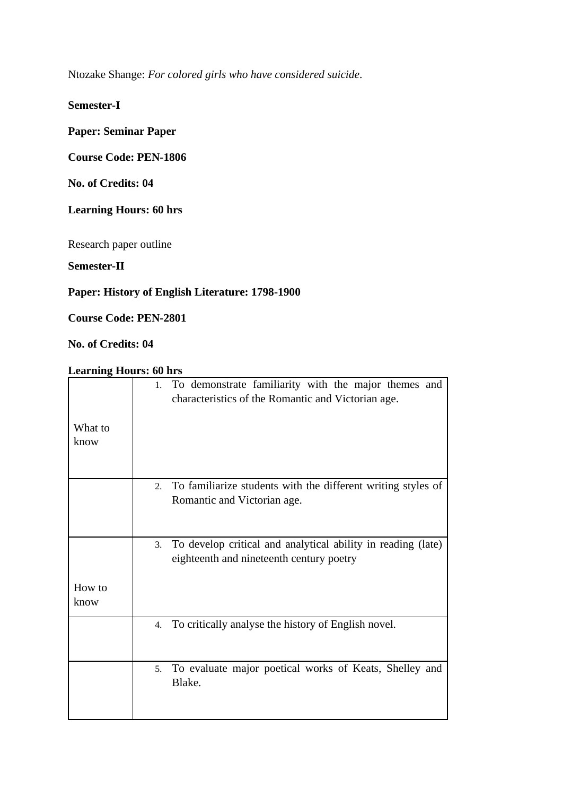Ntozake Shange: *For colored girls who have considered suicide*.

**Semester-I**

# **Paper: Seminar Paper**

# **Course Code: PEN-1806**

**No. of Credits: 04**

# **Learning Hours: 60 hrs**

Research paper outline

**Semester-II**

# **Paper: History of English Literature: 1798-1900**

**Course Code: PEN-2801**

**No. of Credits: 04**

| What to<br>know | To demonstrate familiarity with the major themes and<br>1.<br>characteristics of the Romantic and Victorian age. |
|-----------------|------------------------------------------------------------------------------------------------------------------|
|                 | To familiarize students with the different writing styles of<br>2.<br>Romantic and Victorian age.                |
|                 | To develop critical and analytical ability in reading (late)<br>3.<br>eighteenth and nineteenth century poetry   |
| How to<br>know  |                                                                                                                  |
|                 | To critically analyse the history of English novel.<br>4.                                                        |
|                 | To evaluate major poetical works of Keats, Shelley and<br>5 <sub>1</sub><br>Blake.                               |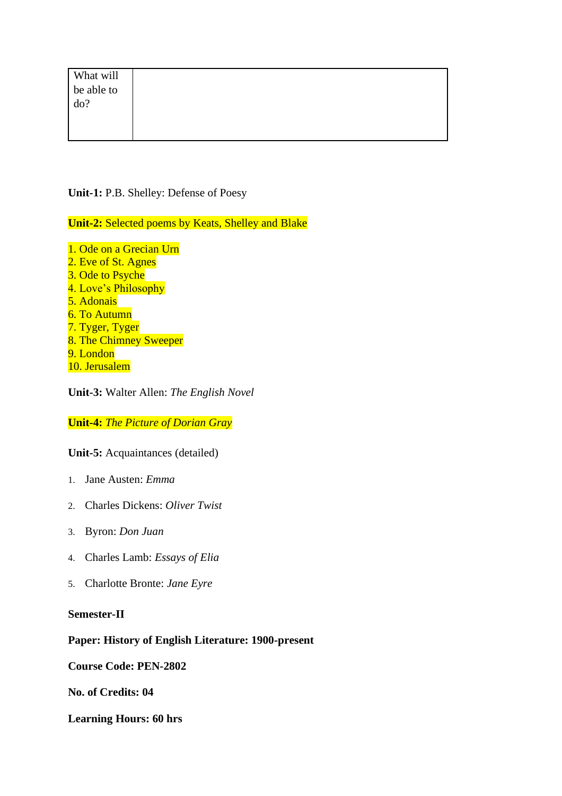| What will                |  |  |  |
|--------------------------|--|--|--|
| be able to $\frac{1}{2}$ |  |  |  |
|                          |  |  |  |
|                          |  |  |  |
|                          |  |  |  |

**Unit-1:** P.B. Shelley: Defense of Poesy

**Unit-2:** Selected poems by Keats, Shelley and Blake

1. Ode on a Grecian Urn 2. Eve of St. Agnes 3. Ode to Psyche 4. Love's Philosophy 5. Adonais 6. To Autumn 7. Tyger, Tyger 8. The Chimney Sweeper 9. London 10. Jerusalem

**Unit-3:** Walter Allen: *The English Novel*

**Unit-4:** *The Picture of Dorian Gray*

**Unit-5:** Acquaintances (detailed)

- 1. Jane Austen: *Emma*
- 2. Charles Dickens: *Oliver Twist*
- 3. Byron: *Don Juan*
- 4. Charles Lamb: *Essays of Elia*
- 5. Charlotte Bronte: *Jane Eyre*

**Semester-II**

### **Paper: History of English Literature: 1900-present**

**Course Code: PEN-2802**

**No. of Credits: 04**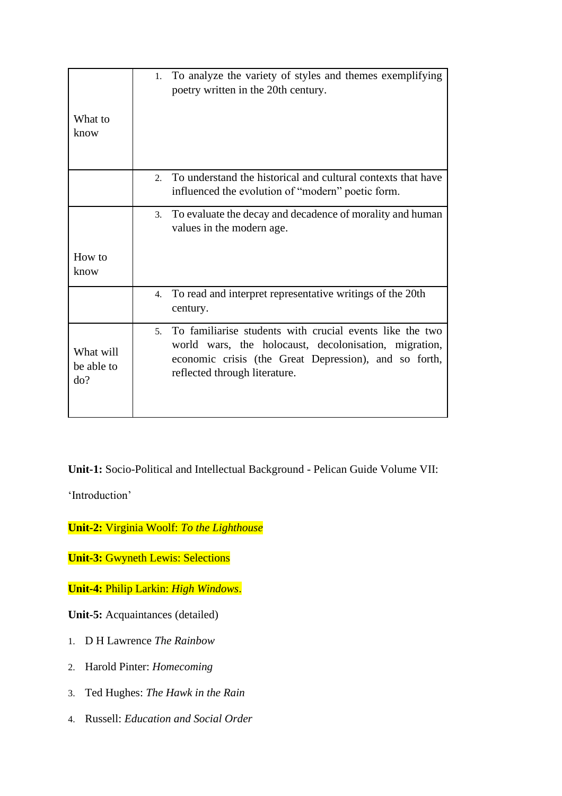| What to<br>know                | To analyze the variety of styles and themes exemplifying<br>1.<br>poetry written in the 20th century.                                                                                                                         |
|--------------------------------|-------------------------------------------------------------------------------------------------------------------------------------------------------------------------------------------------------------------------------|
|                                | To understand the historical and cultural contexts that have<br>2.<br>influenced the evolution of "modern" poetic form.                                                                                                       |
|                                | To evaluate the decay and decadence of morality and human<br>3.<br>values in the modern age.                                                                                                                                  |
| How to<br>know                 |                                                                                                                                                                                                                               |
|                                | To read and interpret representative writings of the 20th<br>4.<br>century.                                                                                                                                                   |
| What will<br>be able to<br>do? | To familiarise students with crucial events like the two<br>5 <sub>1</sub><br>world wars, the holocaust, decolonisation, migration,<br>economic crisis (the Great Depression), and so forth,<br>reflected through literature. |

**Unit-1:** Socio-Political and Intellectual Background - Pelican Guide Volume VII:

'Introduction'

**Unit-2:** Virginia Woolf: *To the Lighthouse*

**Unit-3: Gwyneth Lewis: Selections** 

**Unit-4:** Philip Larkin: *High Windows*.

**Unit-5:** Acquaintances (detailed)

- 1. D H Lawrence *The Rainbow*
- 2. Harold Pinter: *Homecoming*
- 3. Ted Hughes: *The Hawk in the Rain*
- 4. Russell: *Education and Social Order*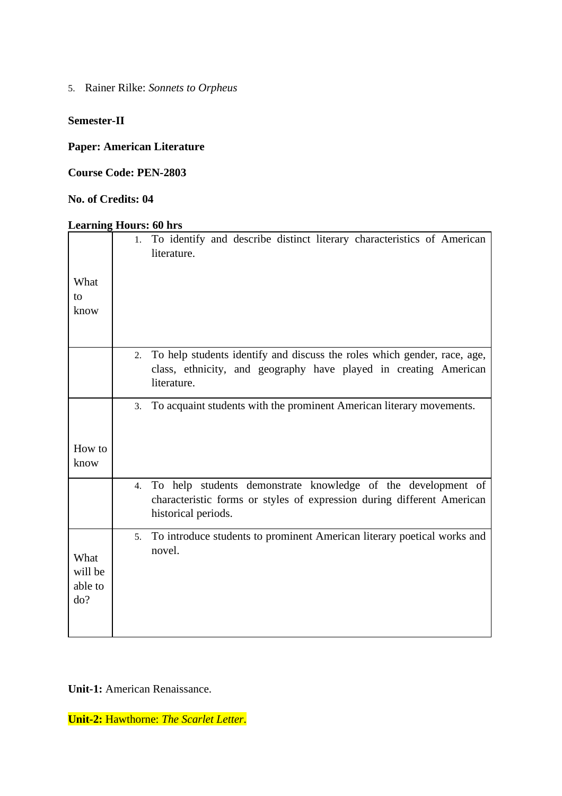5. Rainer Rilke: *Sonnets to Orpheus*

# **Semester-II**

**Paper: American Literature**

**Course Code: PEN-2803**

### **No. of Credits: 04**

# **Learning Hours: 60 hrs**

|         | 1. | To identify and describe distinct literary characteristics of American<br>literature.                                                                         |
|---------|----|---------------------------------------------------------------------------------------------------------------------------------------------------------------|
| What    |    |                                                                                                                                                               |
| to      |    |                                                                                                                                                               |
| know    |    |                                                                                                                                                               |
|         |    |                                                                                                                                                               |
|         | 2. | To help students identify and discuss the roles which gender, race, age,                                                                                      |
|         |    | class, ethnicity, and geography have played in creating American<br>literature.                                                                               |
|         | 3. | To acquaint students with the prominent American literary movements.                                                                                          |
|         |    |                                                                                                                                                               |
| How to  |    |                                                                                                                                                               |
| know    |    |                                                                                                                                                               |
|         | 4. | To help students demonstrate knowledge of the development of<br>characteristic forms or styles of expression during different American<br>historical periods. |
|         | 5. | To introduce students to prominent American literary poetical works and                                                                                       |
| What    |    | novel.                                                                                                                                                        |
| will be |    |                                                                                                                                                               |
| able to |    |                                                                                                                                                               |
| do?     |    |                                                                                                                                                               |
|         |    |                                                                                                                                                               |
|         |    |                                                                                                                                                               |

**Unit-1:** American Renaissance.

**Unit-2:** Hawthorne: *The Scarlet Letter*.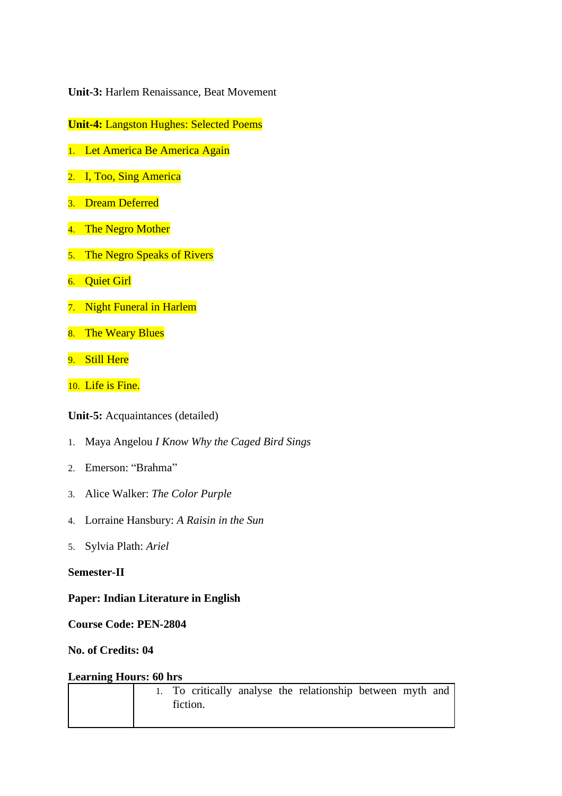**Unit-3:** Harlem Renaissance, Beat Movement

**Unit-4:** Langston Hughes: Selected Poems

- 1. Let America Be America Again
- 2. I, Too, Sing America
- 3. Dream Deferred
- 4. The Negro Mother
- 5. The Negro Speaks of Rivers
- 6. Quiet Girl
- 7. Night Funeral in Harlem
- 8. The Weary Blues
- 9. Still Here
- 10. Life is Fine.

**Unit-5:** Acquaintances (detailed)

- 1. Maya Angelou *I Know Why the Caged Bird Sings*
- 2. Emerson: "Brahma"
- 3. Alice Walker: *The Color Purple*
- 4. Lorraine Hansbury: *A Raisin in the Sun*
- 5. Sylvia Plath: *Ariel*

#### **Semester-II**

### **Paper: Indian Literature in English**

**Course Code: PEN-2804**

### **No. of Credits: 04**

|  |          |  | 1. To critically analyse the relationship between myth and |  |  |
|--|----------|--|------------------------------------------------------------|--|--|
|  | fiction. |  |                                                            |  |  |
|  |          |  |                                                            |  |  |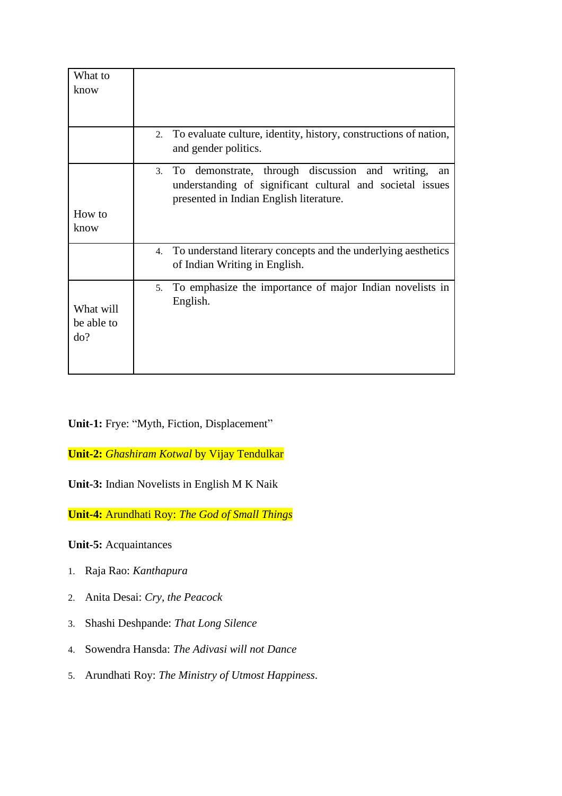| What to<br>know                |                                                                                                                                                                        |
|--------------------------------|------------------------------------------------------------------------------------------------------------------------------------------------------------------------|
|                                | 2. To evaluate culture, identity, history, constructions of nation,<br>and gender politics.                                                                            |
|                                | demonstrate, through discussion and writing,<br>To<br>3.<br>an<br>understanding of significant cultural and societal issues<br>presented in Indian English literature. |
| How to<br>know                 |                                                                                                                                                                        |
|                                | 4. To understand literary concepts and the underlying aesthetics<br>of Indian Writing in English.                                                                      |
| What will<br>be able to<br>do? | To emphasize the importance of major Indian novelists in<br>5 <sub>1</sub><br>English.                                                                                 |

**Unit-1:** Frye: "Myth, Fiction, Displacement"

**Unit-2:** *Ghashiram Kotwal* by Vijay Tendulkar

**Unit-3:** Indian Novelists in English M K Naik

**Unit-4:** Arundhati Roy: *The God of Small Things*

**Unit-5:** Acquaintances

- 1. Raja Rao: *Kanthapura*
- 2. Anita Desai: *Cry, the Peacock*
- 3. Shashi Deshpande: *That Long Silence*
- 4. Sowendra Hansda: *The Adivasi will not Dance*
- 5. Arundhati Roy: *The Ministry of Utmost Happiness*.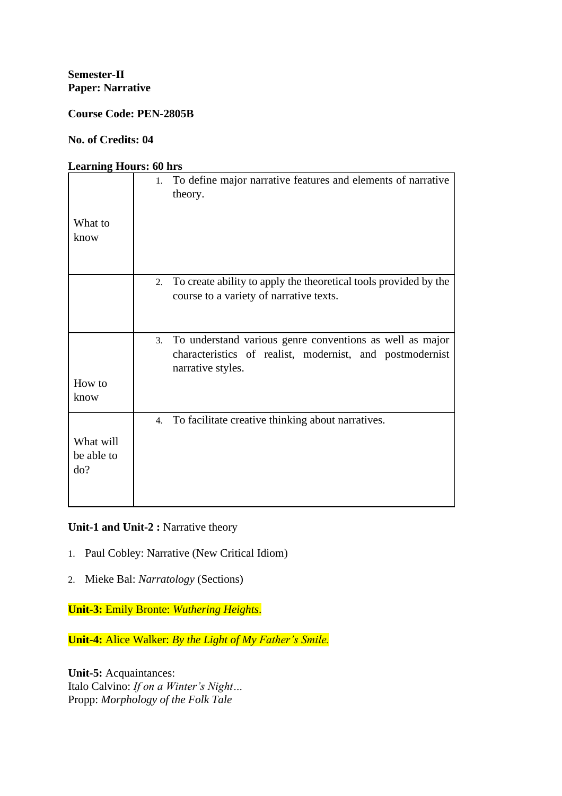**Course Code: PEN-2805B**

**No. of Credits: 04**

### **Learning Hours: 60 hrs**

|                 | To define major narrative features and elements of narrative<br>1.<br>theory. |
|-----------------|-------------------------------------------------------------------------------|
| What to<br>know |                                                                               |
|                 |                                                                               |
|                 | 2. To create ability to apply the theoretical tools provided by the           |
|                 | course to a variety of narrative texts.                                       |
|                 |                                                                               |
|                 |                                                                               |
|                 |                                                                               |
|                 | 3. To understand various genre conventions as well as major                   |
|                 | characteristics of realist, modernist, and postmodernist<br>narrative styles. |
|                 |                                                                               |
| How to          |                                                                               |
| know            |                                                                               |
|                 |                                                                               |
|                 | 4. To facilitate creative thinking about narratives.                          |
|                 |                                                                               |
| What will       |                                                                               |
| be able to      |                                                                               |
| do?             |                                                                               |
|                 |                                                                               |
|                 |                                                                               |
|                 |                                                                               |

# Unit-1 and Unit-2 : Narrative theory

- 1. Paul Cobley: Narrative (New Critical Idiom)
- 2. Mieke Bal: *Narratology* (Sections)

**Unit-3:** Emily Bronte: *Wuthering Heights*.

**Unit-4:** Alice Walker: *By the Light of My Father's Smile.*

**Unit-5:** Acquaintances: Italo Calvino: *If on a Winter's Night…* Propp: *Morphology of the Folk Tale*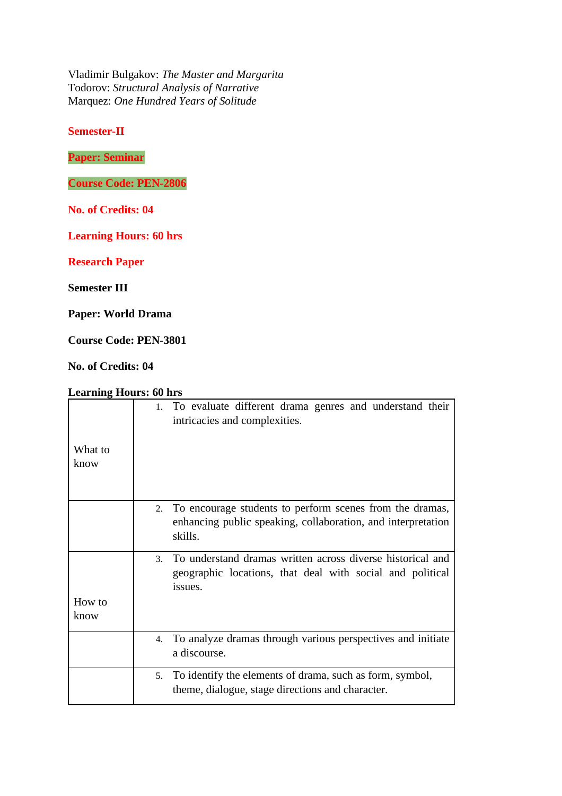Vladimir Bulgakov: *The Master and Margarita* Todorov: *Structural Analysis of Narrative* Marquez: *One Hundred Years of Solitude*

**Semester-II**

**Paper: Seminar**

**Course Code: PEN-2806**

**No. of Credits: 04**

**Learning Hours: 60 hrs**

**Research Paper**

**Semester III**

**Paper: World Drama**

**Course Code: PEN-3801**

**No. of Credits: 04**

|                 | 1. To evaluate different drama genres and understand their<br>intricacies and complexities.                                                         |
|-----------------|-----------------------------------------------------------------------------------------------------------------------------------------------------|
| What to<br>know |                                                                                                                                                     |
|                 | 2. To encourage students to perform scenes from the dramas,<br>enhancing public speaking, collaboration, and interpretation<br>skills.              |
|                 | To understand dramas written across diverse historical and<br>$\mathcal{E}$<br>geographic locations, that deal with social and political<br>issues. |
| How to<br>know  |                                                                                                                                                     |
|                 | 4. To analyze dramas through various perspectives and initiate<br>a discourse.                                                                      |
|                 | To identify the elements of drama, such as form, symbol,<br>5.<br>theme, dialogue, stage directions and character.                                  |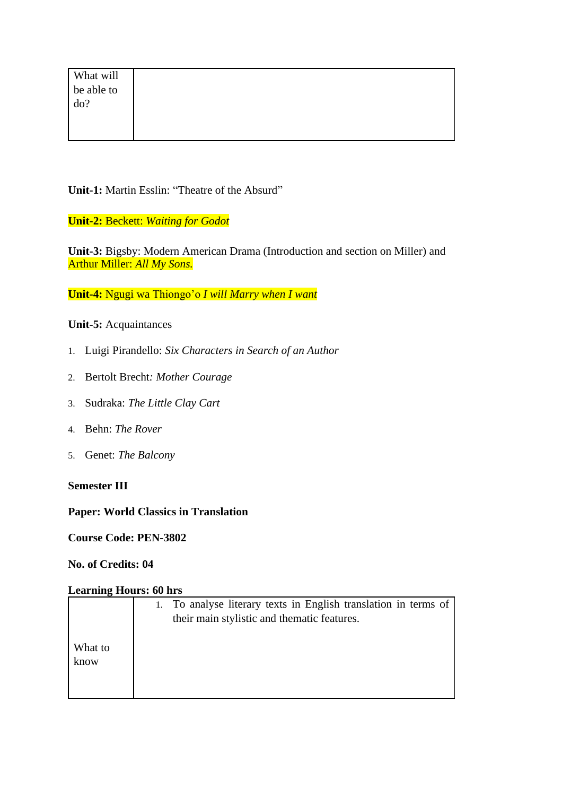| What will      |  |  |  |
|----------------|--|--|--|
| be able to do? |  |  |  |
|                |  |  |  |
|                |  |  |  |
|                |  |  |  |

**Unit-1:** Martin Esslin: "Theatre of the Absurd"

**Unit-2:** Beckett: *Waiting for Godot*

**Unit-3:** Bigsby: Modern American Drama (Introduction and section on Miller) and Arthur Miller: *All My Sons.*

**Unit-4:** Ngugi wa Thiongo'o *I will Marry when I want*

**Unit-5:** Acquaintances

- 1. Luigi Pirandello: *Six Characters in Search of an Author*
- 2. Bertolt Brecht*: Mother Courage*
- 3. Sudraka: *The Little Clay Cart*
- 4. Behn: *The Rover*
- 5. Genet: *The Balcony*

### **Semester III**

### **Paper: World Classics in Translation**

**Course Code: PEN-3802**

**No. of Credits: 04**

|         | 1. To analyse literary texts in English translation in terms of |
|---------|-----------------------------------------------------------------|
|         | their main stylistic and thematic features.                     |
|         |                                                                 |
| What to |                                                                 |
| know    |                                                                 |
|         |                                                                 |
|         |                                                                 |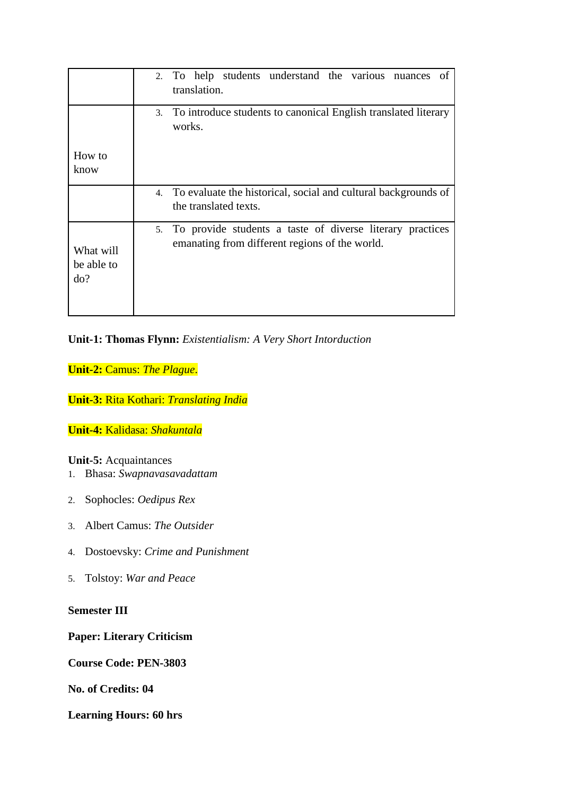|                                | 2. To help students understand the various nuances<br>of<br>translation.                                       |
|--------------------------------|----------------------------------------------------------------------------------------------------------------|
|                                | 3. To introduce students to canonical English translated literary<br>works.                                    |
| How to<br>know                 |                                                                                                                |
|                                | 4. To evaluate the historical, social and cultural backgrounds of<br>the translated texts.                     |
| What will<br>be able to<br>do? | 5. To provide students a taste of diverse literary practices<br>emanating from different regions of the world. |

# **Unit-1: Thomas Flynn:** *Existentialism: A Very Short Intorduction*

**Unit-2:** Camus: *The Plague*.

**Unit-3:** Rita Kothari: *Translating India*

# **Unit-4:** Kalidasa: *Shakuntala*

### **Unit-5:** Acquaintances

- 1. Bhasa: *Swapnavasavadattam*
- 2. Sophocles: *Oedipus Rex*
- 3. Albert Camus: *The Outsider*
- 4. Dostoevsky: *Crime and Punishment*
- 5. Tolstoy: *War and Peace*

# **Semester III**

**Paper: Literary Criticism**

**Course Code: PEN-3803**

**No. of Credits: 04**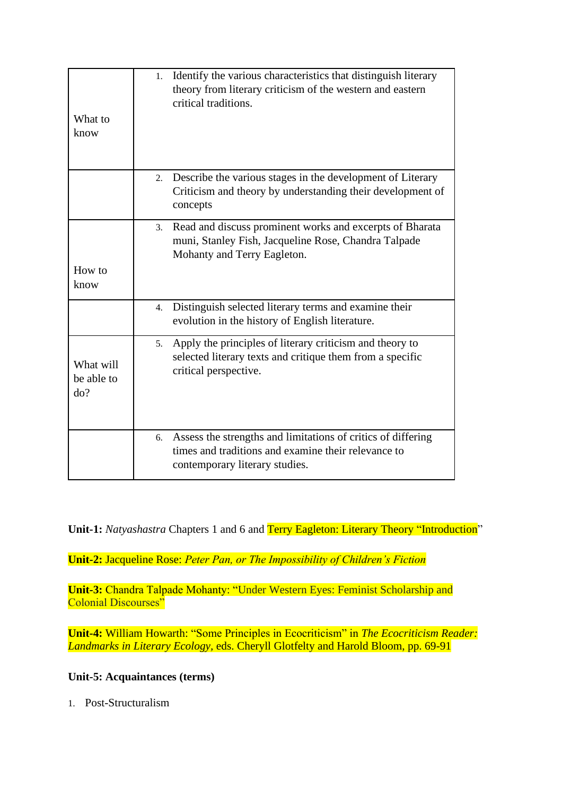| What to<br>know                | Identify the various characteristics that distinguish literary<br>1 <sup>1</sup><br>theory from literary criticism of the western and eastern<br>critical traditions. |
|--------------------------------|-----------------------------------------------------------------------------------------------------------------------------------------------------------------------|
|                                | Describe the various stages in the development of Literary<br>2.<br>Criticism and theory by understanding their development of<br>concepts                            |
| How to                         | Read and discuss prominent works and excerpts of Bharata<br>3.<br>muni, Stanley Fish, Jacqueline Rose, Chandra Talpade<br>Mohanty and Terry Eagleton.                 |
| know                           |                                                                                                                                                                       |
|                                | Distinguish selected literary terms and examine their<br>4.<br>evolution in the history of English literature.                                                        |
| What will<br>be able to<br>do? | Apply the principles of literary criticism and theory to<br>5.<br>selected literary texts and critique them from a specific<br>critical perspective.                  |
|                                | Assess the strengths and limitations of critics of differing<br>6.<br>times and traditions and examine their relevance to<br>contemporary literary studies.           |

**Unit-1:** *Natyashastra* Chapters 1 and 6 and Terry Eagleton: Literary Theory "Introduction"

**Unit-2:** Jacqueline Rose: *Peter Pan, or The Impossibility of Children's Fiction*

**Unit-3:** Chandra Talpade Mohanty: "Under Western Eyes: Feminist Scholarship and Colonial Discourses"

**Unit-4:** William Howarth: "Some Principles in Ecocriticism" in *The Ecocriticism Reader: Landmarks in Literary Ecology,* eds. Cheryll Glotfelty and Harold Bloom, pp. 69-91

# **Unit-5: Acquaintances (terms)**

1. Post-Structuralism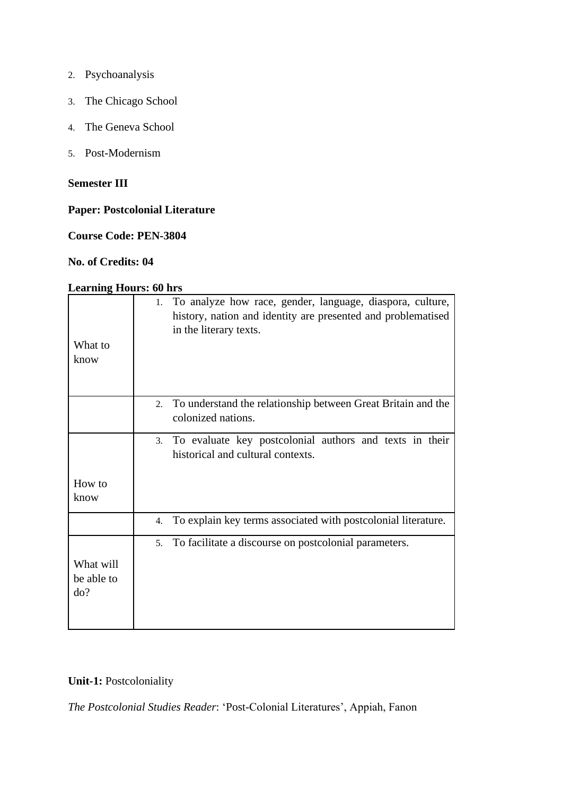- 2. Psychoanalysis
- 3. The Chicago School
- 4. The Geneva School
- 5. Post-Modernism

# **Semester III**

# **Paper: Postcolonial Literature**

# **Course Code: PEN-3804**

### **No. of Credits: 04**

## **Learning Hours: 60 hrs**

| What to<br>know                | 1. To analyze how race, gender, language, diaspora, culture,<br>history, nation and identity are presented and problematised<br>in the literary texts. |
|--------------------------------|--------------------------------------------------------------------------------------------------------------------------------------------------------|
|                                |                                                                                                                                                        |
|                                | To understand the relationship between Great Britain and the<br>2.<br>colonized nations.                                                               |
|                                | To evaluate key postcolonial authors and texts in their<br>3.<br>historical and cultural contexts.                                                     |
| How to<br>know                 |                                                                                                                                                        |
|                                | To explain key terms associated with postcolonial literature.<br>4.                                                                                    |
|                                | To facilitate a discourse on postcolonial parameters.<br>5.                                                                                            |
| What will<br>be able to<br>do? |                                                                                                                                                        |

# **Unit-1: Postcoloniality**

*The Postcolonial Studies Reader*: 'Post-Colonial Literatures', Appiah, Fanon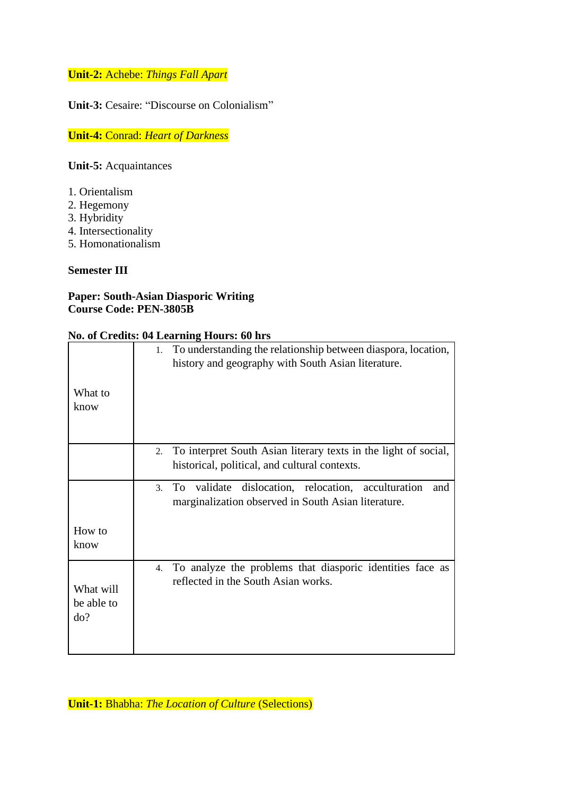# **Unit-2:** Achebe: *Things Fall Apart*

**Unit-3:** Cesaire: "Discourse on Colonialism"

**Unit-4:** Conrad: *Heart of Darkness*

**Unit-5:** Acquaintances

- 1. Orientalism
- 2. Hegemony
- 3. Hybridity
- 4. Intersectionality
- 5. Homonationalism

## **Semester III**

# **Paper: South-Asian Diasporic Writing Course Code: PEN-3805B**

### **No. of Credits: 04 Learning Hours: 60 hrs**

| What to<br>know                | 1. To understanding the relationship between diaspora, location,<br>history and geography with South Asian literature.                      |
|--------------------------------|---------------------------------------------------------------------------------------------------------------------------------------------|
|                                | To interpret South Asian literary texts in the light of social,<br>2.<br>historical, political, and cultural contexts.                      |
|                                | dislocation, relocation, acculturation<br>validate<br>To.<br>and<br>$\mathfrak{Z}$ .<br>marginalization observed in South Asian literature. |
| How to<br>know                 |                                                                                                                                             |
| What will<br>be able to<br>do? | 4. To analyze the problems that diasporic identities face as<br>reflected in the South Asian works.                                         |

**Unit-1:** Bhabha: *The Location of Culture* (Selections)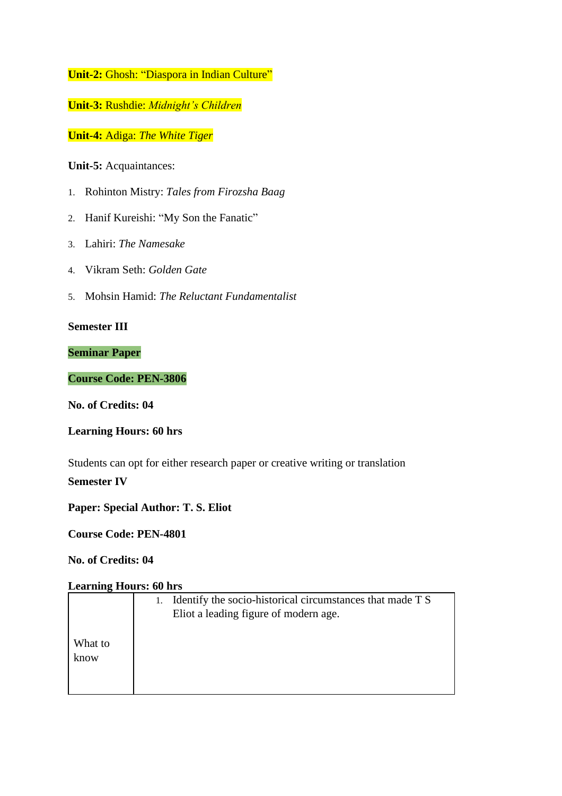**Unit-2:** Ghosh: "Diaspora in Indian Culture"

**Unit-3:** Rushdie: *Midnight's Children*

**Unit-4:** Adiga: *The White Tiger*

**Unit-5:** Acquaintances:

- 1. Rohinton Mistry: *Tales from Firozsha Baag*
- 2. Hanif Kureishi: "My Son the Fanatic"
- 3. Lahiri: *The Namesake*
- 4. Vikram Seth: *Golden Gate*
- 5. Mohsin Hamid: *The Reluctant Fundamentalist*

# **Semester III**

### **Seminar Paper**

# **Course Code: PEN-3806**

**No. of Credits: 04**

### **Learning Hours: 60 hrs**

Students can opt for either research paper or creative writing or translation

## **Semester IV**

**Paper: Special Author: T. S. Eliot**

**Course Code: PEN-4801**

## **No. of Credits: 04**

|                 | Identify the socio-historical circumstances that made T S<br>Eliot a leading figure of modern age. |
|-----------------|----------------------------------------------------------------------------------------------------|
| What to<br>know |                                                                                                    |
|                 |                                                                                                    |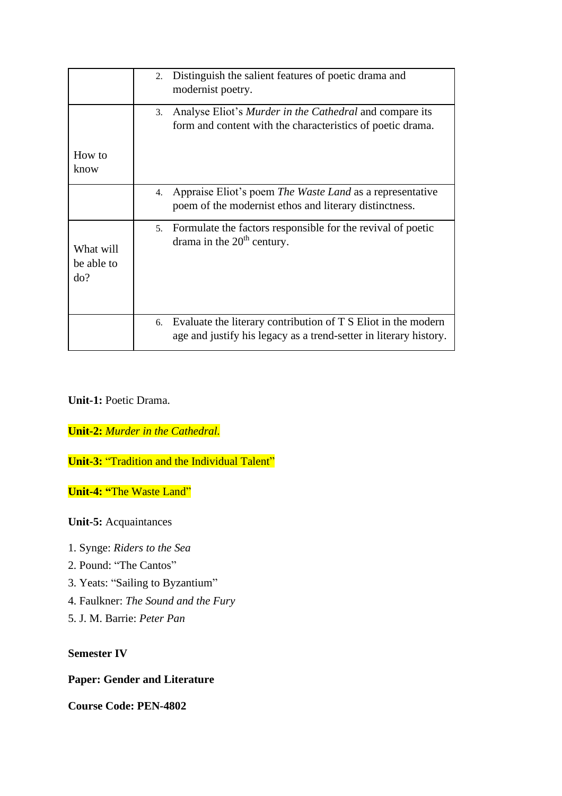|                                | Distinguish the salient features of poetic drama and<br>2.<br>modernist poetry.                                                          |
|--------------------------------|------------------------------------------------------------------------------------------------------------------------------------------|
|                                | Analyse Eliot's <i>Murder in the Cathedral</i> and compare its<br>3.<br>form and content with the characteristics of poetic drama.       |
| How to<br>know                 |                                                                                                                                          |
|                                | Appraise Eliot's poem The Waste Land as a representative<br>4.<br>poem of the modernist ethos and literary distinctness.                 |
| What will<br>be able to<br>do? | Formulate the factors responsible for the revival of poetic<br>5.<br>drama in the $20th$ century.                                        |
|                                | Evaluate the literary contribution of T S Eliot in the modern<br>6.<br>age and justify his legacy as a trend-setter in literary history. |

# **Unit-1:** Poetic Drama.

**Unit-2:** *Murder in the Cathedral.*

**Unit-3:** "Tradition and the Individual Talent"

**Unit-4: "**The Waste Land"

**Unit-5:** Acquaintances

- 1. Synge: *Riders to the Sea*
- 2. Pound: "The Cantos"
- 3. Yeats: "Sailing to Byzantium"
- 4. Faulkner: *The Sound and the Fury*
- 5. J. M. Barrie: *Peter Pan*

### **Semester IV**

# **Paper: Gender and Literature**

**Course Code: PEN-4802**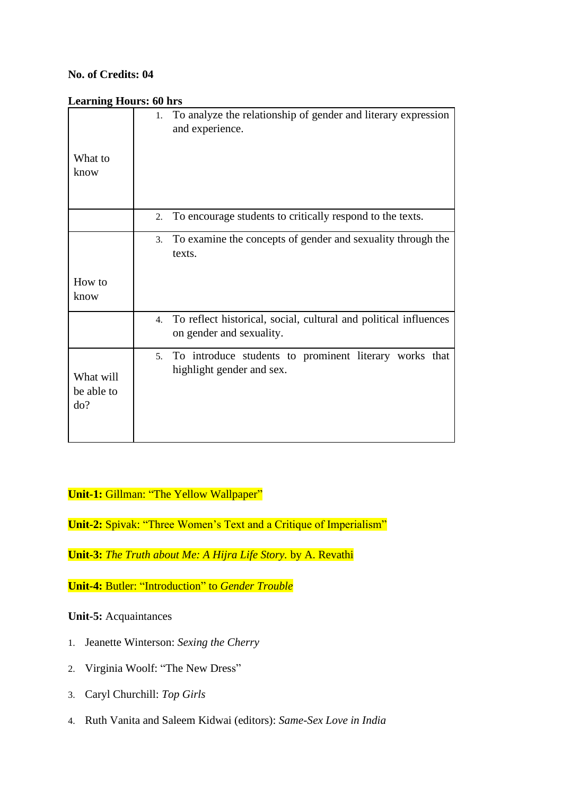### **No. of Credits: 04**

### **Learning Hours: 60 hrs**

| What to<br>know                | 1. To analyze the relationship of gender and literary expression<br>and experience.             |
|--------------------------------|-------------------------------------------------------------------------------------------------|
|                                |                                                                                                 |
|                                | To encourage students to critically respond to the texts.<br>2.                                 |
|                                | To examine the concepts of gender and sexuality through the<br>3.<br>texts.                     |
| How to<br>know                 |                                                                                                 |
|                                | 4. To reflect historical, social, cultural and political influences<br>on gender and sexuality. |
| What will<br>be able to<br>do? | To introduce students to prominent literary works that<br>5.<br>highlight gender and sex.       |

# **Unit-1:** Gillman: "The Yellow Wallpaper"

**Unit-2:** Spivak: "Three Women's Text and a Critique of Imperialism"

**Unit-3:** *The Truth about Me: A Hijra Life Story.* by A. Revathi

**Unit-4:** Butler: "Introduction" to *Gender Trouble*

**Unit-5:** Acquaintances

- 1. Jeanette Winterson: *Sexing the Cherry*
- 2. Virginia Woolf: "The New Dress"
- 3. Caryl Churchill: *Top Girls*
- 4. Ruth Vanita and Saleem Kidwai (editors): *Same-Sex Love in India*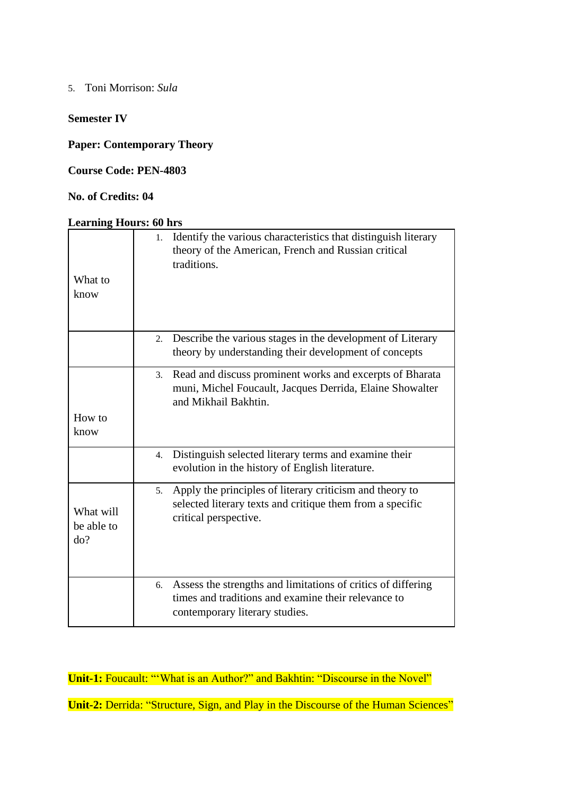5. Toni Morrison: *Sula*

## **Semester IV**

**Paper: Contemporary Theory**

**Course Code: PEN-4803**

# **No. of Credits: 04**

#### **Learning Hours: 60 hrs**

|                                | Identify the various characteristics that distinguish literary<br>1.<br>theory of the American, French and Russian critical<br>traditions.                  |  |  |  |  |  |
|--------------------------------|-------------------------------------------------------------------------------------------------------------------------------------------------------------|--|--|--|--|--|
| What to<br>know                |                                                                                                                                                             |  |  |  |  |  |
|                                | Describe the various stages in the development of Literary<br>2.<br>theory by understanding their development of concepts                                   |  |  |  |  |  |
|                                | Read and discuss prominent works and excerpts of Bharata<br>3.<br>muni, Michel Foucault, Jacques Derrida, Elaine Showalter<br>and Mikhail Bakhtin.          |  |  |  |  |  |
| How to<br>know                 |                                                                                                                                                             |  |  |  |  |  |
|                                | Distinguish selected literary terms and examine their<br>4.<br>evolution in the history of English literature.                                              |  |  |  |  |  |
| What will<br>be able to<br>do? | Apply the principles of literary criticism and theory to<br>5.<br>selected literary texts and critique them from a specific<br>critical perspective.        |  |  |  |  |  |
|                                | Assess the strengths and limitations of critics of differing<br>6.<br>times and traditions and examine their relevance to<br>contemporary literary studies. |  |  |  |  |  |

**Unit-1:** Foucault: "'What is an Author?" and Bakhtin: "Discourse in the Novel"

**Unit-2: Derrida: "Structure, Sign, and Play in the Discourse of the Human Sciences"**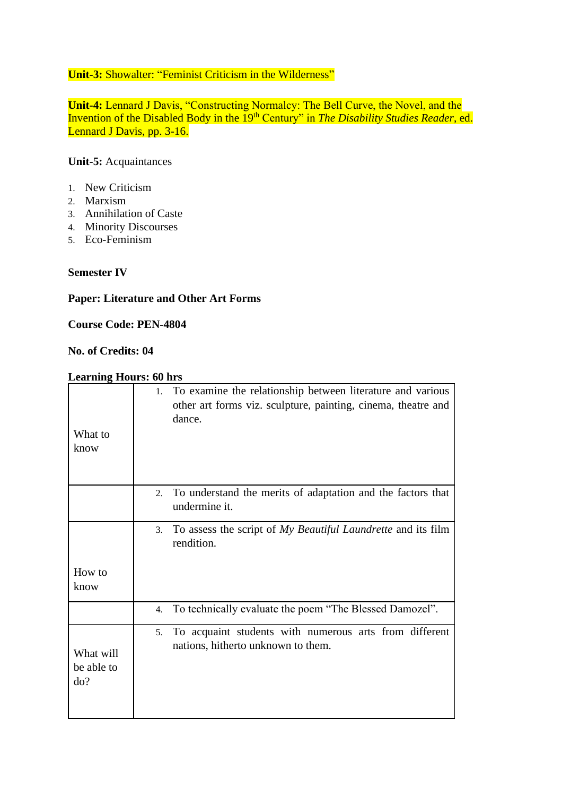# **Unit-3:** Showalter: "Feminist Criticism in the Wilderness"

**Unit-4:** Lennard J Davis, "Constructing Normalcy: The Bell Curve, the Novel, and the Invention of the Disabled Body in the 19<sup>th</sup> Century" in *The Disability Studies Reader*, ed. Lennard J Davis, pp. 3-16.

# **Unit-5:** Acquaintances

- 1. New Criticism
- 2. Marxism
- 3. Annihilation of Caste
- 4. Minority Discourses
- 5. Eco-Feminism

### **Semester IV**

# **Paper: Literature and Other Art Forms**

### **Course Code: PEN-4804**

# **No. of Credits: 04**

| What to<br>know                | To examine the relationship between literature and various<br>1.<br>other art forms viz. sculpture, painting, cinema, theatre and<br>dance. |
|--------------------------------|---------------------------------------------------------------------------------------------------------------------------------------------|
|                                | To understand the merits of adaptation and the factors that<br>2.<br>undermine it.                                                          |
|                                | To assess the script of My Beautiful Laundrette and its film<br>3.<br>rendition.                                                            |
| How to<br>know                 |                                                                                                                                             |
|                                | To technically evaluate the poem "The Blessed Damozel".<br>4.                                                                               |
| What will<br>be able to<br>do? | To acquaint students with numerous arts from different<br>5.<br>nations, hitherto unknown to them.                                          |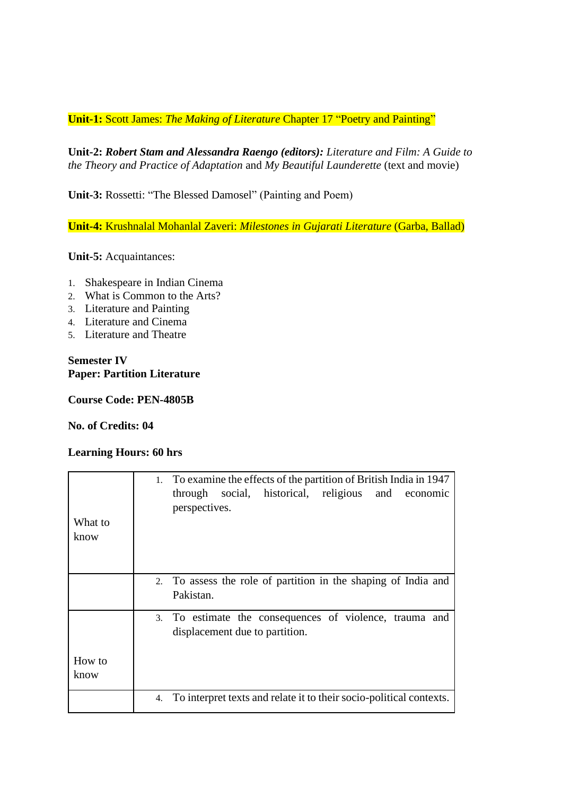**Unit-1:** Scott James: *The Making of Literature* Chapter 17 "Poetry and Painting"

**Unit-2:** *Robert Stam and Alessandra Raengo (editors): Literature and Film: A Guide to the Theory and Practice of Adaptation* and *My Beautiful Launderette* (text and movie)

**Unit-3:** Rossetti: "The Blessed Damosel" (Painting and Poem)

**Unit-4:** Krushnalal Mohanlal Zaveri: *Milestones in Gujarati Literature* (Garba, Ballad)

**Unit-5:** Acquaintances:

- 1. Shakespeare in Indian Cinema
- 2. What is Common to the Arts?
- 3. Literature and Painting
- 4. Literature and Cinema
- 5. Literature and Theatre

### **Semester IV Paper: Partition Literature**

**Course Code: PEN-4805B**

### **No. of Credits: 04**

| What to<br>know | 1. To examine the effects of the partition of British India in 1947<br>through social, historical, religious<br>and economic<br>perspectives. |
|-----------------|-----------------------------------------------------------------------------------------------------------------------------------------------|
|                 | 2. To assess the role of partition in the shaping of India and<br>Pakistan.                                                                   |
|                 | 3. To estimate the consequences of violence, trauma and<br>displacement due to partition.                                                     |
| How to<br>know  |                                                                                                                                               |
|                 | 4. To interpret texts and relate it to their socio-political contexts.                                                                        |